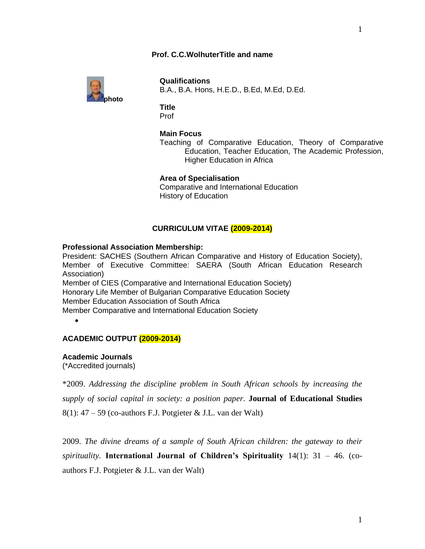# **Prof. C.C.WolhuterTitle and name**



**Qualifications** B.A., B.A. Hons, H.E.D., B.Ed, M.Ed, D.Ed.

### **Title** Prof

## **Main Focus**

Teaching of Comparative Education, Theory of Comparative Education, Teacher Education, The Academic Profession, Higher Education in Africa

## **Area of Specialisation**

Comparative and International Education History of Education

## **CURRICULUM VITAE (2009-2014)**

### **Professional Association Membership:**

President: SACHES (Southern African Comparative and History of Education Society), Member of Executive Committee: SAERA (South African Education Research Association) Member of CIES (Comparative and International Education Society) Honorary Life Member of Bulgarian Comparative Education Society Member Education Association of South Africa Member Comparative and International Education Society

 $\bullet$ 

# **ACADEMIC OUTPUT (2009-2014)**

**Academic Journals**

(\*Accredited journals)

\*2009. *Addressing the discipline problem in South African schools by increasing the supply of social capital in society: a position paper*. **Journal of Educational Studies**   $8(1)$ : 47 – 59 (co-authors F.J. Potgieter & J.L. van der Walt)

2009. *The divine dreams of a sample of South African children: the gateway to their spirituality.* **International Journal of Children's Spirituality** 14(1): 31 – 46. (coauthors F.J. Potgieter & J.L. van der Walt)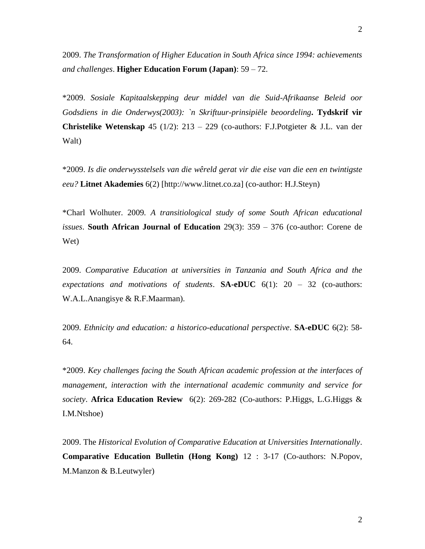2009. *The Transformation of Higher Education in South Africa since 1994: achievements and challenges*. **Higher Education Forum (Japan)**: 59 – 72.

\*2009. *Sosiale Kapitaalskepping deur middel van die Suid-Afrikaanse Beleid oor Godsdiens in die Onderwys(2003): `n Skriftuur-prinsipiële beoordeling***. Tydskrif vir Christelike Wetenskap** 45 (1/2): 213 – 229 (co-authors: F.J.Potgieter & J.L. van der Walt)

\*2009. *Is die onderwysstelsels van die wêreld gerat vir die eise van die een en twintigste eeu?* **Litnet Akademies** 6(2) [http://www.litnet.co.za] (co-author: H.J.Steyn)

\*Charl Wolhuter. 2009*. A transitiological study of some South African educational issues*. **South African Journal of Education** 29(3): 359 – 376 (co-author: Corene de Wet)

2009. *Comparative Education at universities in Tanzania and South Africa and the expectations and motivations of students*. **SA-eDUC** 6(1): 20 – 32 (co-authors: W.A.L.Anangisye & R.F.Maarman).

2009. *Ethnicity and education: a historico-educational perspective*. **SA-eDUC** 6(2): 58- 64.

\*2009. *Key challenges facing the South African academic profession at the interfaces of management, interaction with the international academic community and service for society*. **Africa Education Review** 6(2): 269-282 (Co-authors: P.Higgs, L.G.Higgs & I.M.Ntshoe)

2009. The *Historical Evolution of Comparative Education at Universities Internationally*. **Comparative Education Bulletin (Hong Kong)** 12 : 3-17 (Co-authors: N.Popov, M.Manzon & B.Leutwyler)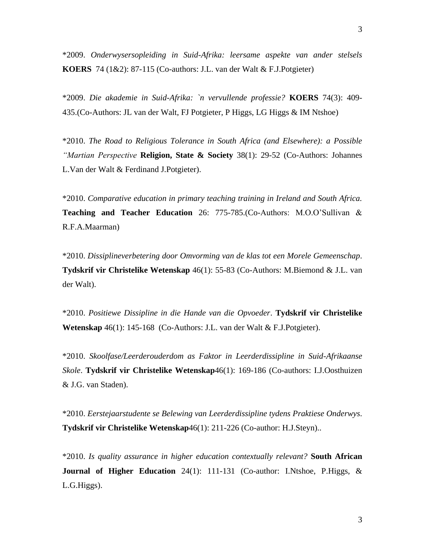\*2009. *Onderwysersopleiding in Suid-Afrika: leersame aspekte van ander stelsels* **KOERS** 74 (1&2): 87-115 (Co-authors: J.L. van der Walt & F.J.Potgieter)

\*2009. *Die akademie in Suid-Afrika: `n vervullende professie?* **KOERS** 74(3): 409- 435.(Co-Authors: JL van der Walt, FJ Potgieter, P Higgs, LG Higgs & IM Ntshoe)

\*2010. *The Road to Religious Tolerance in South Africa (and Elsewhere): a Possible "Martian Perspective* **Religion, State & Society** 38(1): 29-52 (Co-Authors: Johannes L.Van der Walt & Ferdinand J.Potgieter).

\*2010. *Comparative education in primary teaching training in Ireland and South Africa.* **Teaching and Teacher Education** 26: 775-785.(Co-Authors: M.O.O'Sullivan & R.F.A.Maarman)

\*2010. *Dissiplineverbetering door Omvorming van de klas tot een Morele Gemeenschap*. **Tydskrif vir Christelike Wetenskap** 46(1): 55-83 (Co-Authors: M.Biemond & J.L. van der Walt).

\*2010. *Positiewe Dissipline in die Hande van die Opvoeder*. **Tydskrif vir Christelike Wetenskap** 46(1): 145-168 (Co-Authors: J.L. van der Walt & F.J.Potgieter).

\*2010. *Skoolfase/Leerderouderdom as Faktor in Leerderdissipline in Suid-Afrikaanse Skole*. **Tydskrif vir Christelike Wetenskap**46(1): 169-186 (Co-authors: I.J.Oosthuizen & J.G. van Staden).

\*2010. *Eerstejaarstudente se Belewing van Leerderdissipline tydens Praktiese Onderwys*. **Tydskrif vir Christelike Wetenskap**46(1): 211-226 (Co-author: H.J.Steyn)..

\*2010. *Is quality assurance in higher education contextually relevant?* **South African Journal of Higher Education** 24(1): 111-131 (Co-author: I.Ntshoe, P.Higgs, & L.G.Higgs).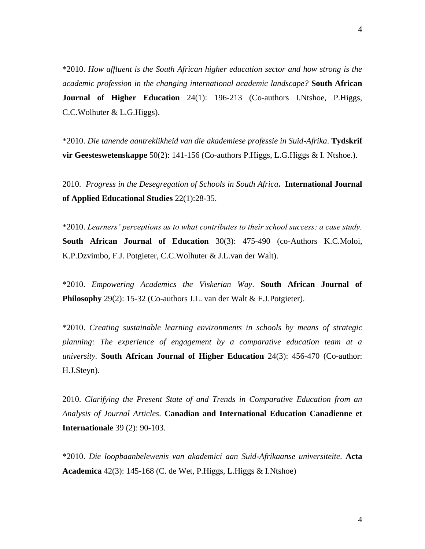\*2010. *How affluent is the South African higher education sector and how strong is the academic profession in the changing international academic landscape?* **South African Journal of Higher Education** 24(1): 196-213 (Co-authors I.Ntshoe, P.Higgs, C.C.Wolhuter & L.G.Higgs).

\*2010. *Die tanende aantreklikheid van die akademiese professie in Suid-Afrika*. **Tydskrif vir Geesteswetenskappe** 50(2): 141-156 (Co-authors P.Higgs, L.G.Higgs & I. Ntshoe.).

2010. *Progress in the Desegregation of Schools in South Africa***. International Journal of Applied Educational Studies** 22(1):28-35.

\*2010. *Learners' perceptions as to what contributes to their school success: a case study.* **South African Journal of Education** 30(3): 475-490 (co-Authors K.C.Moloi, K.P.Dzvimbo, F.J. Potgieter, C.C.Wolhuter & J.L.van der Walt).

\*2010. *Empowering Academics the Viskerian Way*. **South African Journal of Philosophy** 29(2): 15-32 (Co-authors J.L. van der Walt & F.J.Potgieter).

\*2010. *Creating sustainable learning environments in schools by means of strategic planning: The experience of engagement by a comparative education team at a university.* **South African Journal of Higher Education** 24(3): 456-470 (Co-author: H.J.Steyn).

2010. *Clarifying the Present State of and Trends in Comparative Education from an Analysis of Journal Articles*. **Canadian and International Education Canadienne et Internationale** 39 (2): 90-103.

\*2010. *Die loopbaanbelewenis van akademici aan Suid-Afrikaanse universiteite*. **Acta Academica** 42(3): 145-168 (C. de Wet, P.Higgs, L.Higgs & I.Ntshoe)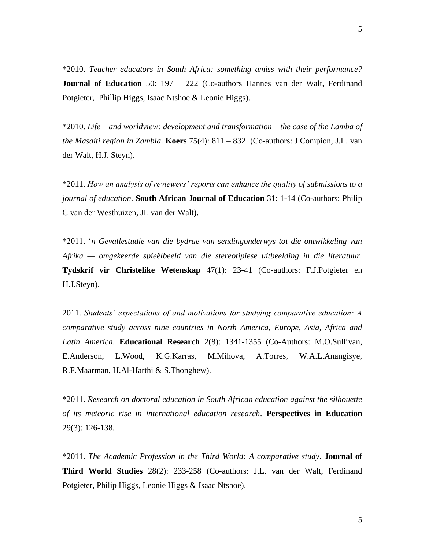\*2010. *Teacher educators in South Africa: something amiss with their performance?* **Journal of Education** 50: 197 – 222 (Co-authors Hannes van der Walt, Ferdinand Potgieter, Phillip Higgs, Isaac Ntshoe & Leonie Higgs).

\*2010. *Life – and worldview: development and transformation – the case of the Lamba of the Masaiti region in Zambia*. **Koers** 75(4): 811 – 832 (Co-authors: J.Compion, J.L. van der Walt, H.J. Steyn).

\*2011. *How an analysis of reviewers' reports can enhance the quality of submissions to a journal of education*. **South African Journal of Education** 31: 1-14 (Co-authors: Philip C van der Westhuizen, JL van der Walt).

\*2011. '*n Gevallestudie van die bydrae van sendingonderwys tot die ontwikkeling van Afrika — omgekeerde spieëlbeeld van die stereotipiese uitbeelding in die literatuur.* **Tydskrif vir Christelike Wetenskap** 47(1): 23-41 (Co-authors: F.J.Potgieter en H.J.Steyn).

2011. *Students' expectations of and motivations for studying comparative education: A comparative study across nine countries in North America, Europe, Asia, Africa and Latin America*. **Educational Research** 2(8): 1341-1355 (Co-Authors: M.O.Sullivan, E.Anderson, L.Wood, K.G.Karras, M.Mihova, A.Torres, W.A.L.Anangisye, R.F.Maarman, H.Al-Harthi & S.Thonghew).

\*2011. *Research on doctoral education in South African education against the silhouette of its meteoric rise in international education research*. **Perspectives in Education** 29(3): 126-138.

\*2011. *The Academic Profession in the Third World: A comparative study.* **Journal of Third World Studies** 28(2): 233-258 (Co-authors: J.L. van der Walt, Ferdinand Potgieter, Philip Higgs, Leonie Higgs & Isaac Ntshoe).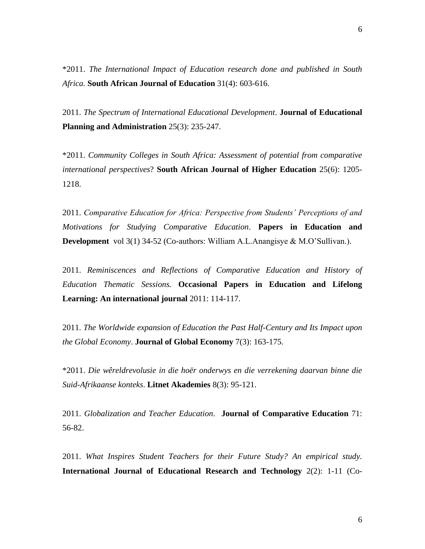2011. *The Spectrum of International Educational Development*. **Journal of Educational Planning and Administration** 25(3): 235-247.

\*2011. *Community Colleges in South Africa: Assessment of potential from comparative international perspectives*? **South African Journal of Higher Education** 25(6): 1205- 1218.

2011. *Comparative Education for Africa: Perspective from Students' Perceptions of and Motivations for Studying Comparative Education*. **Papers in Education and Development** vol 3(1) 34-52 (Co-authors: William A.L.Anangisye & M.O'Sullivan.).

2011. *Reminiscences and Reflections of Comparative Education and History of Education Thematic Sessions.* **Occasional Papers in Education and Lifelong Learning: An international journal** 2011: 114-117.

2011. *The Worldwide expansion of Education the Past Half-Century and Its Impact upon the Global Economy*. **Journal of Global Economy** 7(3): 163-175.

\*2011. *Die wêreldrevolusie in die hoër onderwys en die verrekening daarvan binne die Suid-Afrikaanse konteks*. **Litnet Akademies** 8(3): 95-121.

2011. *Globalization and Teacher Education*. **Journal of Comparative Education** 71: 56-82.

2011. *What Inspires Student Teachers for their Future Study? An empirical study.* **International Journal of Educational Research and Technology** 2(2): 1-11 (Co-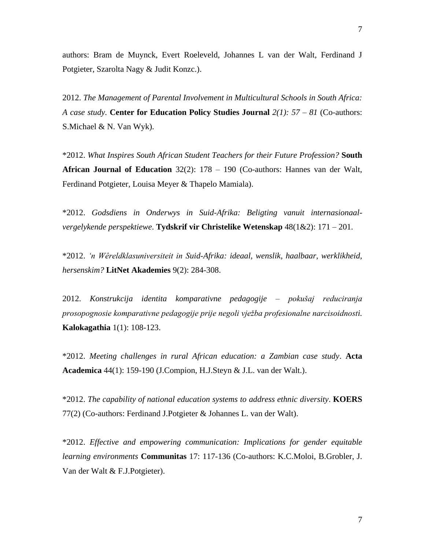authors: Bram de Muynck, Evert Roeleveld, Johannes L van der Walt, Ferdinand J Potgieter, Szarolta Nagy & Judit Konzc.).

2012. *The Management of Parental Involvement in Multicultural Schools in South Africa: A case study.* **Center for Education Policy Studies Journal** *2(1): 57 – 81* (Co-authors: S.Michael & N. Van Wyk).

\*2012. *What Inspires South African Student Teachers for their Future Profession?* **South African Journal of Education** 32(2): 178 – 190 (Co-authors: Hannes van der Walt, Ferdinand Potgieter, Louisa Meyer & Thapelo Mamiala).

\*2012. *Godsdiens in Onderwys in Suid-Afrika: Beligting vanuit internasionaalvergelykende perspektiewe*. **Tydskrif vir Christelike Wetenskap** 48(1&2): 171 – 201.

\*2012. *'n Wêreldklasuniversiteit in Suid-Afrika: ideaal, wenslik, haalbaar, werklikheid, hersenskim?* **LitNet Akademies** 9(2): 284-308.

2012. *Konstrukcija identita komparativne pedagogije – pokušaj reduciranja prosopognosie komparativne pedagogije prije negoli vježba profesionalne narcisoidnosti.* **Kalokagathia** 1(1): 108-123.

\*2012. *Meeting challenges in rural African education: a Zambian case study*. **Acta Academica** 44(1): 159-190 (J.Compion, H.J.Steyn & J.L. van der Walt.).

\*2012. *The capability of national education systems to address ethnic diversity*. **KOERS** 77(2) (Co-authors: Ferdinand J.Potgieter & Johannes L. van der Walt).

\*2012. *Effective and empowering communication: Implications for gender equitable learning environments* **Communitas** 17: 117-136 (Co-authors: K.C.Moloi, B.Grobler, J. Van der Walt & F.J.Potgieter).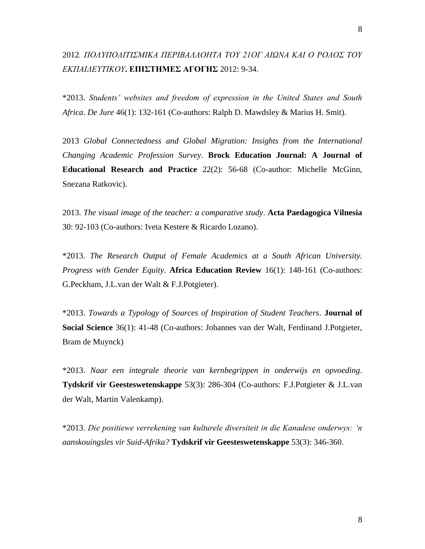# 2012*. ΠΟΛΥΠΟΛΙΤΙΣΜΙΚΑ ΠΕΡΙΒΑΛΛΟΗΤΑ ΤOΥ 21ΟΓ ΑΙΩΝΑ ΚΑΙ Ο ΡΟΛΟΣ ΤOΥ ΕΚΠΑΙΔΕΥΤΙΚΟΥ***. ΕΠΙΣΤΗΜΕΣ ΑΓΟΓΗΣ** 2012: 9-34.

\*2013. *Students' websites and freedom of expression in the United States and South Africa*. *De Jure* 46(1): 132-161 (Co-authors: Ralph D. Mawdsley & Marius H. Smit).

2013 *Global Connectedness and Global Migration: Insights from the International Changing Academic Profession Survey*. **Brock Education Journal: A Journal of Educational Research and Practice** 22(2): 56-68 (Co-author: Michelle McGinn, Snezana Ratkovic).

2013. *The visual image of the teacher: a comparative study*. **Acta Paedagogica Vilnesia** 30: 92-103 (Co-authors: Iveta Kestere & Ricardo Lozano).

\*2013. *The Research Output of Female Academics at a South African University. Progress with Gender Equity*. **Africa Education Review** 16(1): 148-161 (Co-authors: G.Peckham, J.L.van der Walt & F.J.Potgieter).

\*2013. *Towards a Typology of Sources of Inspiration of Student Teachers*. **Journal of Social Science** 36(1): 41-48 (Co-authors: Johannes van der Walt, Ferdinand J.Potgieter, Bram de Muynck)

\*2013. *Naar een integrale theorie van kernbegrippen in onderwijs en opvoeding*. **Tydskrif vir Geesteswetenskappe** 53(3): 286-304 (Co-authors: F.J.Potgieter & J.L.van der Walt, Martin Valenkamp).

\*2013. *Die positiewe verrekening van kulturele diversiteit in die Kanadese onderwys: 'n aanskouingsles vir Suid-Afrika?* **Tydskrif vir Geesteswetenskappe** 53(3): 346-360.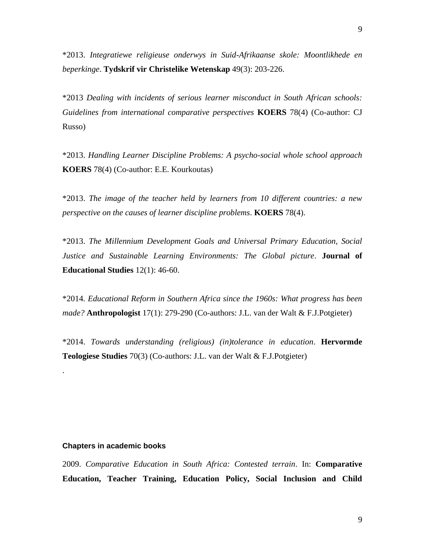\*2013. *Integratiewe religieuse onderwys in Suid-Afrikaanse skole: Moontlikhede en beperkinge*. **Tydskrif vir Christelike Wetenskap** 49(3): 203-226.

\*2013 *Dealing with incidents of serious learner misconduct in South African schools: Guidelines from international comparative perspectives* **KOERS** 78(4) (Co-author: CJ Russo)

\*2013. *Handling Learner Discipline Problems: A psycho-social whole school approach* **KOERS** 78(4) (Co-author: E.E. Kourkoutas)

\*2013. *The image of the teacher held by learners from 10 different countries: a new perspective on the causes of learner discipline problems*. **KOERS** 78(4).

\*2013. *The Millennium Development Goals and Universal Primary Education, Social Justice and Sustainable Learning Environments: The Global picture*. **Journal of Educational Studies** 12(1): 46-60.

\*2014*. Educational Reform in Southern Africa since the 1960s: What progress has been made?* **Anthropologist** 17(1): 279-290 (Co-authors: J.L. van der Walt & F.J.Potgieter)

\*2014. *Towards understanding (religious) (in)tolerance in education*. **Hervormde Teologiese Studies** 70(3) (Co-authors: J.L. van der Walt & F.J.Potgieter)

### **Chapters in academic books**

.

2009. *Comparative Education in South Africa: Contested terrain*. In: **Comparative Education, Teacher Training, Education Policy, Social Inclusion and Child**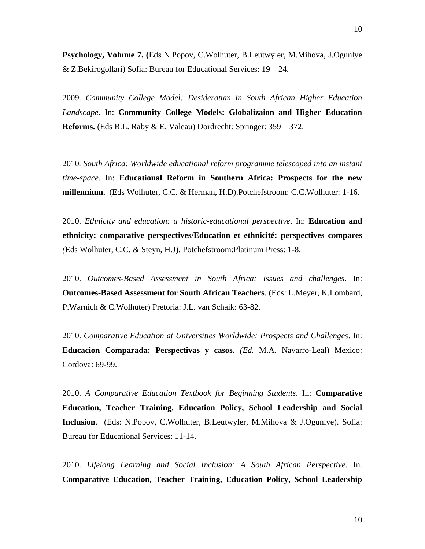**Psychology, Volume 7. (**Eds N.Popov, C.Wolhuter, B.Leutwyler, M.Mihova, J.Ogunlye & Z.Bekirogollari) Sofia: Bureau for Educational Services: 19 – 24.

2009. *Community College Model: Desideratum in South African Higher Education Landscape*. In: **Community College Models: Globalizaion and Higher Education Reforms.** (Eds R.L. Raby & E. Valeau) Dordrecht: Springer: 359 – 372.

2010*. South Africa: Worldwide educational reform programme telescoped into an instant time-space.* In: **Educational Reform in Southern Africa: Prospects for the new millennium.** (Eds Wolhuter, C.C. & Herman, H.D).Potchefstroom: C.C.Wolhuter: 1-16.

2010. *Ethnicity and education: a historic-educational perspective*. In: **Education and ethnicity: comparative perspectives/Education et ethnicité: perspectives compares** *(*Eds Wolhuter, C.C. & Steyn, H.J)*.* Potchefstroom:Platinum Press: 1-8.

2010. *Outcomes-Based Assessment in South Africa: Issues and challenges*. In: **Outcomes-Based Assessment for South African Teachers**. (Eds: L.Meyer, K.Lombard, P.Warnich & C.Wolhuter) Pretoria: J.L. van Schaik: 63-82.

2010. *Comparative Education at Universities Worldwide: Prospects and Challenges*. In: **Educacion Comparada: Perspectivas y casos***. (Ed.* M.A. Navarro-Leal) Mexico: Cordova: 69-99.

2010. *A Comparative Education Textbook for Beginning Students*. In: **Comparative Education, Teacher Training, Education Policy, School Leadership and Social Inclusion**. (Eds: N.Popov, C.Wolhuter, B.Leutwyler, M.Mihova & J.Ogunlye). Sofia: Bureau for Educational Services: 11-14.

2010. *Lifelong Learning and Social Inclusion: A South African Perspective*. In. **Comparative Education, Teacher Training, Education Policy, School Leadership**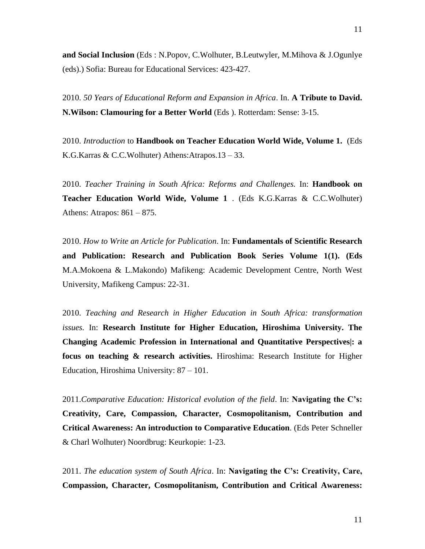**and Social Inclusion** (Eds : N.Popov, C.Wolhuter, B.Leutwyler, M.Mihova & J.Ogunlye (eds).) Sofia: Bureau for Educational Services: 423-427.

2010. *50 Years of Educational Reform and Expansion in Africa*. In. **A Tribute to David. N.Wilson: Clamouring for a Better World** (Eds ). Rotterdam: Sense: 3-15.

2010. *Introduction* to **Handbook on Teacher Education World Wide, Volume 1.** (Eds K.G.Karras & C.C.Wolhuter) Athens:Atrapos.13 – 33.

2010. *Teacher Training in South Africa: Reforms and Challenges.* In: **Handbook on Teacher Education World Wide, Volume 1** . (Eds K.G.Karras & C.C.Wolhuter) Athens: Atrapos: 861 – 875.

2010. *How to Write an Article for Publication*. In: **Fundamentals of Scientific Research and Publication: Research and Publication Book Series Volume 1(1). (Eds**  M.A.Mokoena & L.Makondo) Mafikeng: Academic Development Centre, North West University, Mafikeng Campus: 22-31.

2010. *Teaching and Research in Higher Education in South Africa: transformation issues.* In: **Research Institute for Higher Education, Hiroshima University. The Changing Academic Profession in International and Quantitative Perspectives|: a focus on teaching & research activities.** Hiroshima: Research Institute for Higher Education, Hiroshima University: 87 – 101.

2011.*Comparative Education: Historical evolution of the field*. In: **Navigating the C's: Creativity, Care, Compassion, Character, Cosmopolitanism, Contribution and Critical Awareness: An introduction to Comparative Education**. (Eds Peter Schneller & Charl Wolhuter) Noordbrug: Keurkopie: 1-23.

2011. *The education system of South Africa*. In: **Navigating the C's: Creativity, Care, Compassion, Character, Cosmopolitanism, Contribution and Critical Awareness:**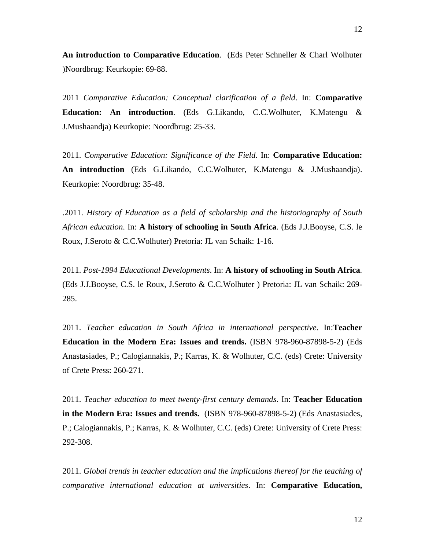**An introduction to Comparative Education**. (Eds Peter Schneller & Charl Wolhuter )Noordbrug: Keurkopie: 69-88.

2011 *Comparative Education: Conceptual clarification of a field*. In: **Comparative Education: An introduction**. (Eds G.Likando, C.C.Wolhuter, K.Matengu & J.Mushaandja) Keurkopie: Noordbrug: 25-33.

2011. *Comparative Education: Significance of the Field*. In: **Comparative Education: An introduction** (Eds G.Likando, C.C.Wolhuter, K.Matengu & J.Mushaandja). Keurkopie: Noordbrug: 35-48.

.2011. *History of Education as a field of scholarship and the historiography of South African education*. In: **A history of schooling in South Africa***.* (Eds J.J.Booyse, C.S. le Roux, J.Seroto & C.C.Wolhuter) Pretoria: JL van Schaik: 1-16.

2011. *Post-1994 Educational Developments*. In: **A history of schooling in South Africa***.* (Eds J.J.Booyse, C.S. le Roux, J.Seroto & C.C.Wolhuter ) Pretoria: JL van Schaik: 269- 285.

2011. *Teacher education in South Africa in international perspective*. In:**Teacher Education in the Modern Era: Issues and trends.** (ISBN 978-960-87898-5-2) (Eds Anastasiades, P.; Calogiannakis, P.; Karras, K. & Wolhuter, C.C. (eds) Crete: University of Crete Press: 260-271.

2011. *Teacher education to meet twenty-first century demands*. In: **Teacher Education in the Modern Era: Issues and trends.** (ISBN 978-960-87898-5-2) (Eds Anastasiades, P.; Calogiannakis, P.; Karras, K. & Wolhuter, C.C. (eds) Crete: University of Crete Press: 292-308.

2011. *Global trends in teacher education and the implications thereof for the teaching of comparative international education at universities*. In: **Comparative Education,**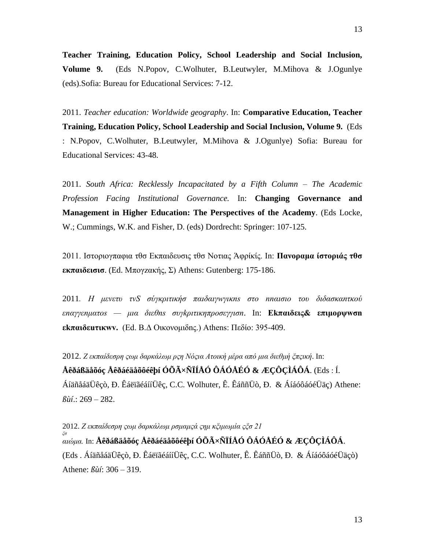**Teacher Training, Education Policy, School Leadership and Social Inclusion, Volume 9.** (Eds N.Popov, C.Wolhuter, B.Leutwyler, M.Mihova & J.Ogunlye (eds).Sofia: Bureau for Educational Services: 7-12.

2011. *Teacher education: Worldwide geography*. In: **Comparative Education, Teacher Training, Education Policy, School Leadership and Social Inclusion, Volume 9.** (Eds : N.Popov, C.Wolhuter, B.Leutwyler, M.Mihova & J.Ogunlye) Sofia: Bureau for Educational Services: 43-48.

2011. *South Africa: Recklessly Incapacitated by a Fifth Column – The Academic Profession Facing Institutional Governance.* In: **Changing Governance and Management in Higher Education: The Perspectives of the Academy**. (Eds Locke, W.; Cummings, W.K. and Fisher, D. (eds) Dordrecht: Springer: 107-125.

2011. Ιστοριογπαφια τθσ Еκπαιδευσις τθσ Νοτιας Άφρίκίς. In: **Πανοραμα ίστοριάς τθσ εκπαιδεισισ**. (Ed. Μπογzακής, Σ) Athens: Gutenberg: 175-186.

2011*. H μενετυ τνЅ σύγκριτικήσ παιδαιγwγικns στo пnαισιο του διδασκαnτκoύ εпαγγεnματοs — μια διεθns συγkριτικηπροσεγγισn*. In: **Ekπαιδεις& επιμορψwσn εkπαιδεuτικwv.** (Ed. B.Δ Oικονομιδnς.) Athens: Πεδίo: 395-409.

2012. *Ζ εκπαίδεσρη ςωμ δαρκάλωμ ρςη Νόςια Ατοική μέρα από μια διεθμή ξπςική*. In: **Åêðáßäåõóç Åêðáéäåõôéêþí ÓÕÃ×ÑÏÍÅÓ ÔÁÓÅÉÓ & ÆÇÔÇÌÁÔÁ**. (Eds : Í. ÁíäñåáäÜêçò, Ð. ÊáëïãéáííÜêç, C.C. Wolhuter, Ê. ÊáññÜò, Ð. & ÁíáóôáóéÜäç) Athene: *ßùí*.: 269 – 282.

2012. *Ζ εκπαίδεσρη ςωμ δαρκάλωμ ρσμαμςά ςημ κξιμωμία ςξσ 21 ξσ αιώμα.* In: **Åêðáßäåõóç Åêðáéäåõôéêþí ÓÕÃ×ÑÏÍÅÓ ÔÁÓÅÉÓ & ÆÇÔÇÌÁÔÁ**. (Eds . ÁíäñåáäÜêçò, Ð. ÊáëïãéáííÜêç, C.C. Wolhuter, Ê. ÊáññÜò, Ð. & ÁíáóôáóéÜäçò) Athene: *ßùí*: 306 – 319.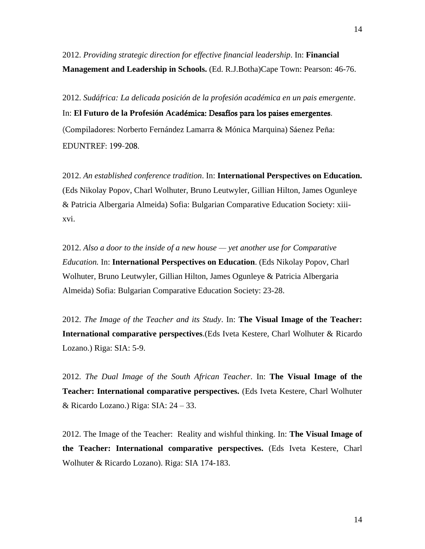2012. *Providing strategic direction for effective financial leadership*. In: **Financial Management and Leadership in Schools.** (Ed. R.J.Botha)Cape Town: Pearson: 46-76.

2012. *Sudáfrica: La delicada posición de la profesión académica en un pais emergente*. In: **El Futuro de la Profesión Acad**émica: Desafíos para los paises emergentes. (Compiladores: Norberto Fernández Lamarra & Mónica Marquina) Sáenez Peña: EDUNTREF: 199-208.

2012. *An established conference tradition*. In: **International Perspectives on Education.** (Eds Nikolay Popov, Charl Wolhuter, Bruno Leutwyler, Gillian Hilton, James Ogunleye & Patricia Albergaria Almeida) Sofia: Bulgarian Comparative Education Society: xiiixvi.

2012. *Also a door to the inside of a new house — yet another use for Comparative Education.* In: **International Perspectives on Education**. (Eds Nikolay Popov, Charl Wolhuter, Bruno Leutwyler, Gillian Hilton, James Ogunleye & Patricia Albergaria Almeida) Sofia: Bulgarian Comparative Education Society: 23-28.

2012. *The Image of the Teacher and its Study*. In: **The Visual Image of the Teacher: International comparative perspectives**.(Eds Iveta Kestere, Charl Wolhuter & Ricardo Lozano.) Riga: SIA: 5-9.

2012. *The Dual Image of the South African Teacher*. In: **The Visual Image of the Teacher: International comparative perspectives.** (Eds Iveta Kestere, Charl Wolhuter & Ricardo Lozano.) Riga: SIA: 24 – 33.

2012. The Image of the Teacher: Reality and wishful thinking. In: **The Visual Image of the Teacher: International comparative perspectives.** (Eds Iveta Kestere, Charl Wolhuter & Ricardo Lozano). Riga: SIA 174-183.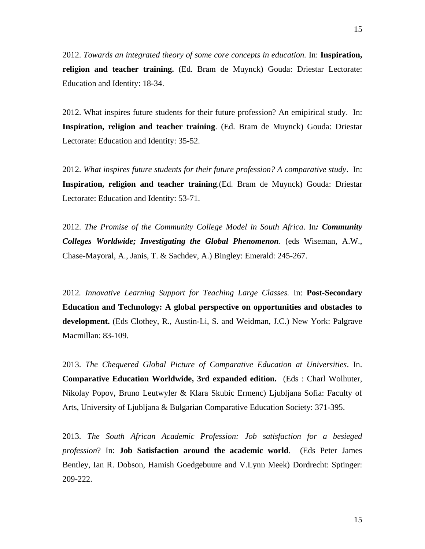2012. *Towards an integrated theory of some core concepts in education.* In: **Inspiration, religion and teacher training.** (Ed. Bram de Muynck) Gouda: Driestar Lectorate: Education and Identity: 18-34.

2012. What inspires future students for their future profession? An emipirical study. In: **Inspiration, religion and teacher training**. (Ed. Bram de Muynck) Gouda: Driestar Lectorate: Education and Identity: 35-52.

2012. *What inspires future students for their future profession? A comparative study*. In: **Inspiration, religion and teacher training**.(Ed. Bram de Muynck) Gouda: Driestar Lectorate: Education and Identity: 53-71.

2012. *The Promise of the Community College Model in South Africa*. In*: Community Colleges Worldwide; Investigating the Global Phenomenon*. (eds Wiseman, A.W., Chase-Mayoral, A., Janis, T. & Sachdev, A.) Bingley: Emerald: 245-267.

2012*. Innovative Learning Support for Teaching Large Classes.* In: **Post-Secondary Education and Technology: A global perspective on opportunities and obstacles to development.** (Eds Clothey, R., Austin-Li, S. and Weidman, J.C.) New York: Palgrave Macmillan: 83-109.

2013. *The Chequered Global Picture of Comparative Education at Universities*. In. **Comparative Education Worldwide, 3rd expanded edition.** (Eds : Charl Wolhuter, Nikolay Popov, Bruno Leutwyler & Klara Skubic Ermenc) Ljubljana Sofia: Faculty of Arts, University of Ljubljana & Bulgarian Comparative Education Society: 371-395.

2013. *The South African Academic Profession: Job satisfaction for a besieged profession*? In: **Job Satisfaction around the academic world**. (Eds Peter James Bentley, Ian R. Dobson, Hamish Goedgebuure and V.Lynn Meek) Dordrecht: Sptinger: 209-222.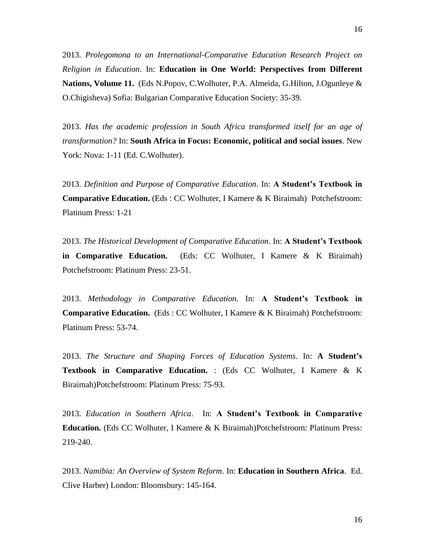2013. *Prolegomona to an International-Comparative Education Research Project on Religion in Education*. In: **Education in One World: Perspectives from Different Nations, Volume 11.** (Eds N.Popov, C.Wolhuter, P.A. Almeida, G.Hilton, J.Ogunleye & O.Chigisheva) Sofia: Bulgarian Comparative Education Society: 35-39.

2013. *Has the academic profession in South Africa transformed itself for an age of transformation?* In: **South Africa in Focus: Economic, political and social issues**. New York: Nova: 1-11 (Ed. C.Wolhuter).

2013. *Definition and Purpose of Comparative Education*. In: **A Student's Textbook in Comparative Education.** (Eds : CC Wolhuter, I Kamere & K Biraimah) Potchefstroom: Platinum Press: 1-21

2013. *The Historical Development of Comparative Education*. In: **A Student's Textbook in Comparative Education.** (Eds: CC Wolhuter, I Kamere & K Biraimah) Potchefstroom: Platinum Press: 23-51.

2013. *Methodology in Comparative Education.* In: **A Student's Textbook in Comparative Education.** (Eds : CC Wolhuter, I Kamere & K Biraimah) Potchefstroom: Platinum Press: 53-74.

2013. *The Structure and Shaping Forces of Education Systems*. In: **A Student's Textbook in Comparative Education.** : (Eds CC Wolhuter, I Kamere & K Biraimah)Potchefstroom: Platinum Press: 75-93.

2013. *Education in Southern Africa*. In: **A Student's Textbook in Comparative Education.** (Eds CC Wolhuter, I Kamere & K Biraimah)Potchefstroom: Platinum Press: 219-240.

2013. *Namibia: An Overview of System Reform*. In: **Education in Southern Africa**. Ed. Clive Harber) London: Bloomsbury: 145-164.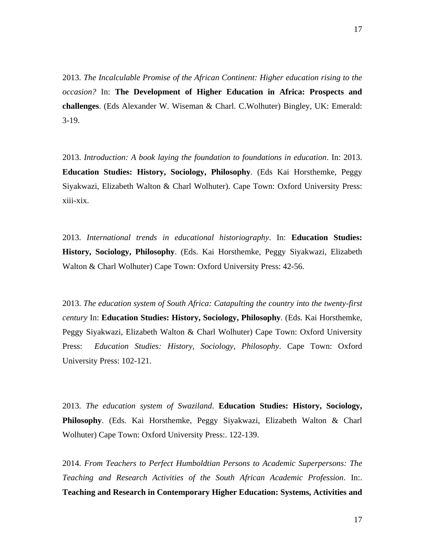2013. *The Incalculable Promise of the African Continent: Higher education rising to the occasion?* In: **The Development of Higher Education in Africa: Prospects and challenges**. (Eds Alexander W. Wiseman & Charl. C.Wolhuter) Bingley, UK: Emerald: 3-19.

2013. *Introduction: A book laying the foundation to foundations in education*. In: 2013. **Education Studies: History, Sociology, Philosophy**. (Eds Kai Horsthemke, Peggy Siyakwazi, Elizabeth Walton & Charl Wolhuter). Cape Town: Oxford University Press: xiii-xix.

2013. *International trends in educational historiography*. In: **Education Studies: History, Sociology, Philosophy**. (Eds. Kai Horsthemke, Peggy Siyakwazi, Elizabeth Walton & Charl Wolhuter) Cape Town: Oxford University Press: 42-56.

2013. *The education system of South Africa: Catapulting the country into the twenty-first century* In: **Education Studies: History, Sociology, Philosophy**. (Eds. Kai Horsthemke, Peggy Siyakwazi, Elizabeth Walton & Charl Wolhuter) Cape Town: Oxford University Press: *Education Studies: History, Sociology, Philosophy*. Cape Town: Oxford University Press: 102-121.

2013. *The education system of Swaziland*. **Education Studies: History, Sociology, Philosophy**. (Eds. Kai Horsthemke, Peggy Siyakwazi, Elizabeth Walton & Charl Wolhuter) Cape Town: Oxford University Press:. 122-139.

2014. *From Teachers to Perfect Humboldtian Persons to Academic Superpersons: The Teaching and Research Activities of the South African Academic Profession*. In:. **Teaching and Research in Contemporary Higher Education: Systems, Activities and**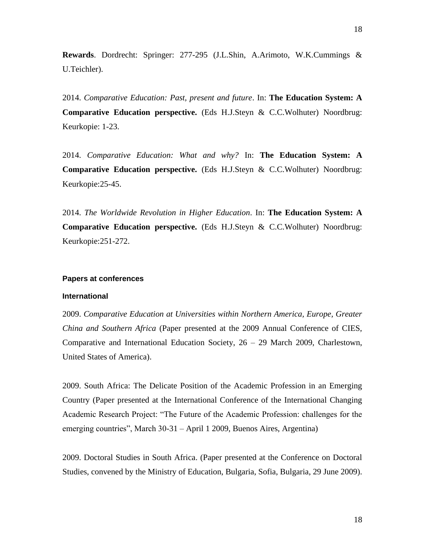**Rewards**. Dordrecht: Springer: 277-295 (J.L.Shin, A.Arimoto, W.K.Cummings & U.Teichler).

2014. *Comparative Education: Past, present and future*. In: **The Education System: A Comparative Education perspective.** (Eds H.J.Steyn & C.C.Wolhuter) Noordbrug: Keurkopie: 1-23.

2014. *Comparative Education: What and why?* In: **The Education System: A Comparative Education perspective.** (Eds H.J.Steyn & C.C.Wolhuter) Noordbrug: Keurkopie:25-45.

2014. *The Worldwide Revolution in Higher Education*. In: **The Education System: A Comparative Education perspective.** (Eds H.J.Steyn & C.C.Wolhuter) Noordbrug: Keurkopie:251-272.

# **Papers at conferences**

#### **International**

2009. *Comparative Education at Universities within Northern America, Europe, Greater China and Southern Africa* (Paper presented at the 2009 Annual Conference of CIES, Comparative and International Education Society, 26 – 29 March 2009, Charlestown, United States of America).

2009. South Africa: The Delicate Position of the Academic Profession in an Emerging Country (Paper presented at the International Conference of the International Changing Academic Research Project: "The Future of the Academic Profession: challenges for the emerging countries", March 30-31 – April 1 2009, Buenos Aires, Argentina)

2009. Doctoral Studies in South Africa. (Paper presented at the Conference on Doctoral Studies, convened by the Ministry of Education, Bulgaria, Sofia, Bulgaria, 29 June 2009).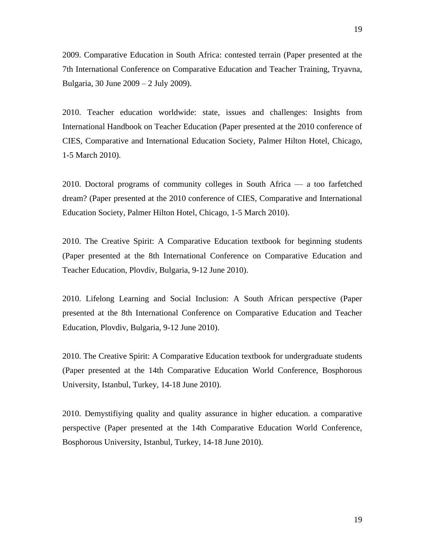2009. Comparative Education in South Africa: contested terrain (Paper presented at the 7th International Conference on Comparative Education and Teacher Training, Tryavna, Bulgaria, 30 June 2009 – 2 July 2009).

2010. Teacher education worldwide: state, issues and challenges: Insights from International Handbook on Teacher Education (Paper presented at the 2010 conference of CIES, Comparative and International Education Society, Palmer Hilton Hotel, Chicago, 1-5 March 2010).

2010. Doctoral programs of community colleges in South Africa — a too farfetched dream? (Paper presented at the 2010 conference of CIES, Comparative and International Education Society, Palmer Hilton Hotel, Chicago, 1-5 March 2010).

2010. The Creative Spirit: A Comparative Education textbook for beginning students (Paper presented at the 8th International Conference on Comparative Education and Teacher Education, Plovdiv, Bulgaria, 9-12 June 2010).

2010. Lifelong Learning and Social Inclusion: A South African perspective (Paper presented at the 8th International Conference on Comparative Education and Teacher Education, Plovdiv, Bulgaria, 9-12 June 2010).

2010. The Creative Spirit: A Comparative Education textbook for undergraduate students (Paper presented at the 14th Comparative Education World Conference, Bosphorous University, Istanbul, Turkey, 14-18 June 2010).

2010. Demystifiying quality and quality assurance in higher education. a comparative perspective (Paper presented at the 14th Comparative Education World Conference, Bosphorous University, Istanbul, Turkey, 14-18 June 2010).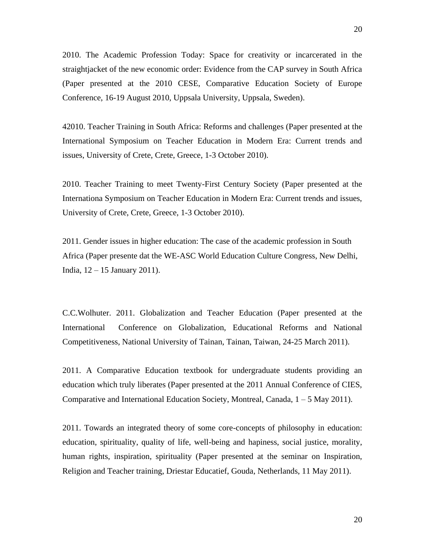2010. The Academic Profession Today: Space for creativity or incarcerated in the straightjacket of the new economic order: Evidence from the CAP survey in South Africa (Paper presented at the 2010 CESE, Comparative Education Society of Europe Conference, 16-19 August 2010, Uppsala University, Uppsala, Sweden).

42010. Teacher Training in South Africa: Reforms and challenges (Paper presented at the International Symposium on Teacher Education in Modern Era: Current trends and issues, University of Crete, Crete, Greece, 1-3 October 2010).

2010. Teacher Training to meet Twenty-First Century Society (Paper presented at the Internationa Symposium on Teacher Education in Modern Era: Current trends and issues, University of Crete, Crete, Greece, 1-3 October 2010).

2011. Gender issues in higher education: The case of the academic profession in South Africa (Paper presente dat the WE-ASC World Education Culture Congress, New Delhi, India, 12 – 15 January 2011).

C.C.Wolhuter. 2011. Globalization and Teacher Education (Paper presented at the International Conference on Globalization, Educational Reforms and National Competitiveness, National University of Tainan, Tainan, Taiwan, 24-25 March 2011).

2011. A Comparative Education textbook for undergraduate students providing an education which truly liberates (Paper presented at the 2011 Annual Conference of CIES, Comparative and International Education Society, Montreal, Canada, 1 – 5 May 2011).

2011. Towards an integrated theory of some core-concepts of philosophy in education: education, spirituality, quality of life, well-being and hapiness, social justice, morality, human rights, inspiration, spirituality (Paper presented at the seminar on Inspiration, Religion and Teacher training, Driestar Educatief, Gouda, Netherlands, 11 May 2011).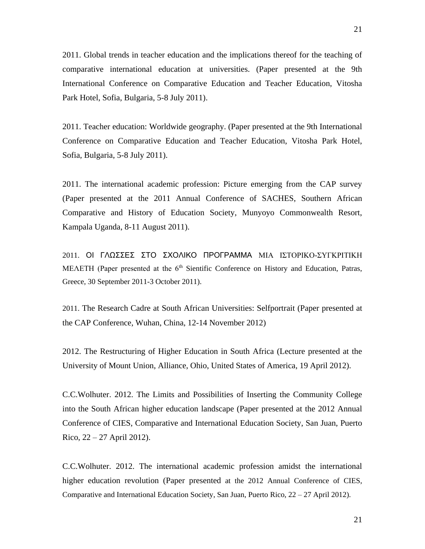2011. Global trends in teacher education and the implications thereof for the teaching of comparative international education at universities. (Paper presented at the 9th International Conference on Comparative Education and Teacher Education, Vitosha Park Hotel, Sofia, Bulgaria, 5-8 July 2011).

2011. Teacher education: Worldwide geography. (Paper presented at the 9th International Conference on Comparative Education and Teacher Education, Vitosha Park Hotel, Sofia, Bulgaria, 5-8 July 2011).

2011. The international academic profession: Picture emerging from the CAP survey (Paper presented at the 2011 Annual Conference of SACHES, Southern African Comparative and History of Education Society, Munyoyo Commonwealth Resort, Kampala Uganda, 8-11 August 2011).

2011. ΟΙ ΓΛΩΣΣΕΣ ΣΤΟ ΣΧΟΛΙΚΟ ΠΡΟΓΡΑΜΜΑ ΜΙΑ ΙΣΤΟΡΙΚΟ-ΣΥΓΚΡΙΤΙΚΗ MEΛΕΤΗ (Paper presented at the 6<sup>th</sup> Sientific Conference on History and Education, Patras, Greece, 30 September 2011-3 October 2011).

2011. The Research Cadre at South African Universities: Selfportrait (Paper presented at the CAP Conference, Wuhan, China, 12-14 November 2012)

2012. The Restructuring of Higher Education in South Africa (Lecture presented at the University of Mount Union, Alliance, Ohio, United States of America, 19 April 2012).

C.C.Wolhuter. 2012. The Limits and Possibilities of Inserting the Community College into the South African higher education landscape (Paper presented at the 2012 Annual Conference of CIES, Comparative and International Education Society, San Juan, Puerto Rico, 22 – 27 April 2012).

C.C.Wolhuter. 2012. The international academic profession amidst the international higher education revolution (Paper presented at the 2012 Annual Conference of CIES, Comparative and International Education Society, San Juan, Puerto Rico, 22 – 27 April 2012).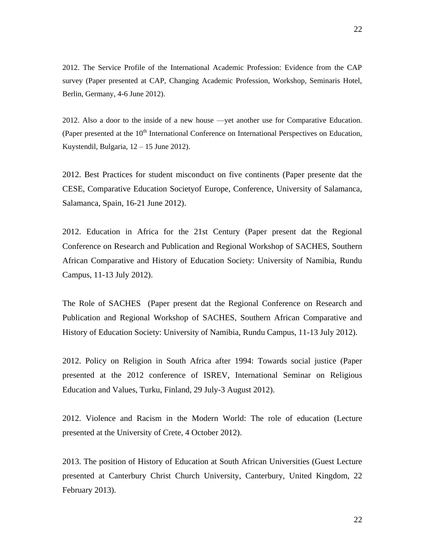2012. The Service Profile of the International Academic Profession: Evidence from the CAP survey (Paper presented at CAP, Changing Academic Profession, Workshop, Seminaris Hotel, Berlin, Germany, 4-6 June 2012).

2012. Also a door to the inside of a new house —yet another use for Comparative Education. (Paper presented at the 10<sup>th</sup> International Conference on International Perspectives on Education, Kuystendil, Bulgaria, 12 – 15 June 2012).

2012. Best Practices for student misconduct on five continents (Paper presente dat the CESE, Comparative Education Societyof Europe, Conference, University of Salamanca, Salamanca, Spain, 16-21 June 2012).

2012. Education in Africa for the 21st Century (Paper present dat the Regional Conference on Research and Publication and Regional Workshop of SACHES, Southern African Comparative and History of Education Society: University of Namibia, Rundu Campus, 11-13 July 2012).

The Role of SACHES (Paper present dat the Regional Conference on Research and Publication and Regional Workshop of SACHES, Southern African Comparative and History of Education Society: University of Namibia, Rundu Campus, 11-13 July 2012).

2012. Policy on Religion in South Africa after 1994: Towards social justice (Paper presented at the 2012 conference of ISREV, International Seminar on Religious Education and Values, Turku, Finland, 29 July-3 August 2012).

2012. Violence and Racism in the Modern World: The role of education (Lecture presented at the University of Crete, 4 October 2012).

2013. The position of History of Education at South African Universities (Guest Lecture presented at Canterbury Christ Church University, Canterbury, United Kingdom, 22 February 2013).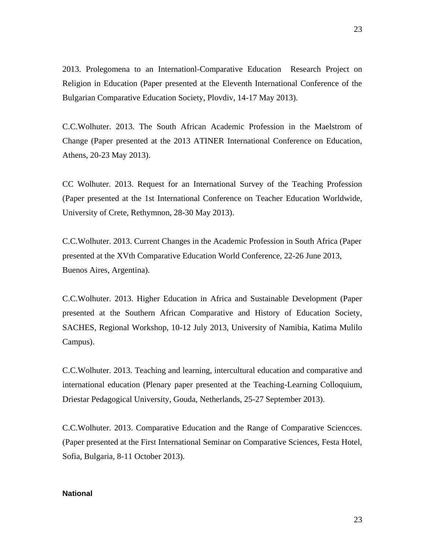2013. Prolegomena to an Internationl-Comparative Education Research Project on Religion in Education (Paper presented at the Eleventh International Conference of the Bulgarian Comparative Education Society, Plovdiv, 14-17 May 2013).

C.C.Wolhuter. 2013. The South African Academic Profession in the Maelstrom of Change (Paper presented at the 2013 ATINER International Conference on Education, Athens, 20-23 May 2013).

CC Wolhuter. 2013. Request for an International Survey of the Teaching Profession (Paper presented at the 1st International Conference on Teacher Education Worldwide, University of Crete, Rethymnon, 28-30 May 2013).

C.C.Wolhuter. 2013. Current Changes in the Academic Profession in South Africa (Paper presented at the XVth Comparative Education World Conference, 22-26 June 2013, Buenos Aires, Argentina).

C.C.Wolhuter. 2013. Higher Education in Africa and Sustainable Development (Paper presented at the Southern African Comparative and History of Education Society, SACHES, Regional Workshop, 10-12 July 2013, University of Namibia, Katima Mulilo Campus).

C.C.Wolhuter. 2013. Teaching and learning, intercultural education and comparative and international education (Plenary paper presented at the Teaching-Learning Colloquium, Driestar Pedagogical University, Gouda, Netherlands, 25-27 September 2013).

C.C.Wolhuter. 2013. Comparative Education and the Range of Comparative Sciencces. (Paper presented at the First International Seminar on Comparative Sciences, Festa Hotel, Sofia, Bulgaria, 8-11 October 2013).

# **National**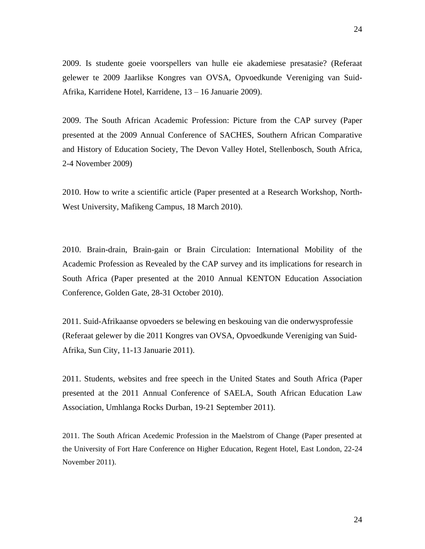2009. Is studente goeie voorspellers van hulle eie akademiese presatasie? (Referaat gelewer te 2009 Jaarlikse Kongres van OVSA, Opvoedkunde Vereniging van Suid-Afrika, Karridene Hotel, Karridene, 13 – 16 Januarie 2009).

2009. The South African Academic Profession: Picture from the CAP survey (Paper presented at the 2009 Annual Conference of SACHES, Southern African Comparative and History of Education Society, The Devon Valley Hotel, Stellenbosch, South Africa, 2-4 November 2009)

2010. How to write a scientific article (Paper presented at a Research Workshop, North-West University, Mafikeng Campus, 18 March 2010).

2010. Brain-drain, Brain-gain or Brain Circulation: International Mobility of the Academic Profession as Revealed by the CAP survey and its implications for research in South Africa (Paper presented at the 2010 Annual KENTON Education Association Conference, Golden Gate, 28-31 October 2010).

2011. Suid-Afrikaanse opvoeders se belewing en beskouing van die onderwysprofessie (Referaat gelewer by die 2011 Kongres van OVSA, Opvoedkunde Vereniging van Suid-Afrika, Sun City, 11-13 Januarie 2011).

2011. Students, websites and free speech in the United States and South Africa (Paper presented at the 2011 Annual Conference of SAELA, South African Education Law Association, Umhlanga Rocks Durban, 19-21 September 2011).

2011. The South African Acedemic Profession in the Maelstrom of Change (Paper presented at the University of Fort Hare Conference on Higher Education, Regent Hotel, East London, 22-24 November 2011).